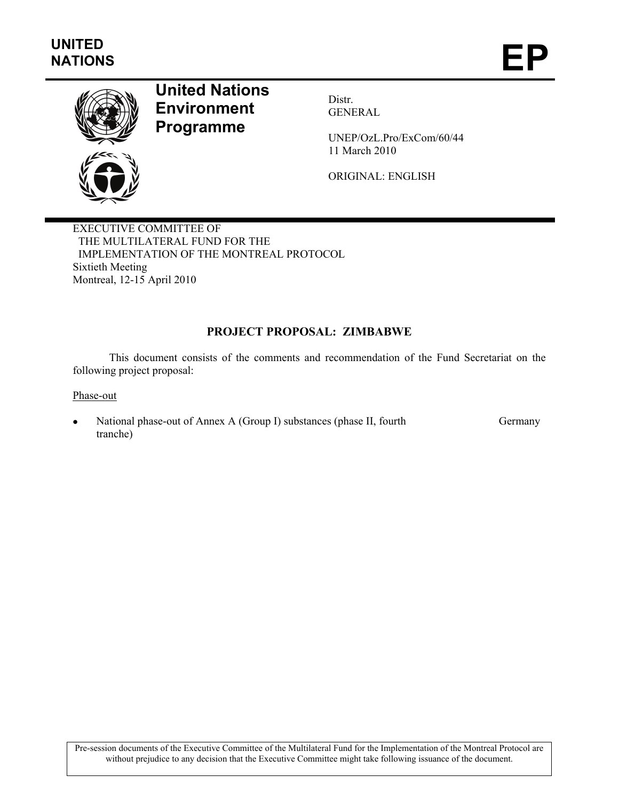

# **United Nations Environment Programme**

Distr. GENERAL

UNEP/OzL.Pro/ExCom/60/44 11 March 2010

ORIGINAL: ENGLISH

EXECUTIVE COMMITTEE OF THE MULTILATERAL FUND FOR THE IMPLEMENTATION OF THE MONTREAL PROTOCOL Sixtieth Meeting Montreal, 12-15 April 2010

# **PROJECT PROPOSAL: ZIMBABWE**

This document consists of the comments and recommendation of the Fund Secretariat on the following project proposal:

Phase-out

• National phase-out of Annex A (Group I) substances (phase II, fourth tranche) Germany

Pre-session documents of the Executive Committee of the Multilateral Fund for the Implementation of the Montreal Protocol are without prejudice to any decision that the Executive Committee might take following issuance of the document.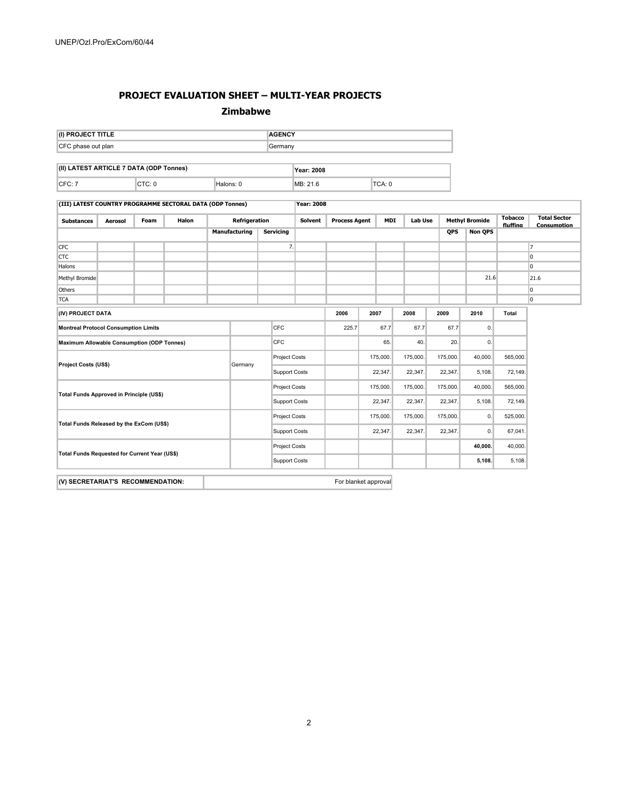### **PROJECT EVALUATION SHEET – MULTI-YEAR PROJECTS**

#### **Zimbabwe**

| (I) PROJECT TITLE                             |                               |  |                                                           |                      |               |               | <b>AGENCY</b>        |                   |                      |         |            |                |              |                       |          |                                    |
|-----------------------------------------------|-------------------------------|--|-----------------------------------------------------------|----------------------|---------------|---------------|----------------------|-------------------|----------------------|---------|------------|----------------|--------------|-----------------------|----------|------------------------------------|
| CFC phase out plan                            |                               |  |                                                           |                      |               | Germany       |                      |                   |                      |         |            |                |              |                       |          |                                    |
| (II) LATEST ARTICLE 7 DATA (ODP Tonnes)       |                               |  |                                                           |                      |               |               |                      | Year: 2008        |                      |         |            |                |              |                       |          |                                    |
| CTC: 0<br>CFC: 7                              |                               |  | Halons: 0                                                 |                      |               |               | MB: 21.6             |                   |                      | TCA: 0  |            |                |              |                       |          |                                    |
|                                               |                               |  | (III) LATEST COUNTRY PROGRAMME SECTORAL DATA (ODP Tonnes) |                      |               |               |                      | <b>Year: 2008</b> |                      |         |            |                |              |                       |          |                                    |
| <b>Substances</b>                             | <b>Foam</b><br><b>Aerosol</b> |  | <b>Halon</b>                                              |                      | Refrigeration |               |                      | <b>Solvent</b>    | <b>Process Agent</b> |         | <b>MDI</b> | <b>Lab Use</b> |              | <b>Methvl Bromide</b> |          | <b>Total Sector</b><br>Consumption |
|                                               |                               |  |                                                           |                      | Manufacturing |               | <b>Servicing</b>     |                   |                      |         |            |                | <b>QPS</b>   | <b>Non QPS</b>        | fluffing |                                    |
| <b>CFC</b>                                    |                               |  |                                                           |                      |               |               | 7.                   |                   |                      |         |            |                |              |                       |          | 7                                  |
| <b>CTC</b>                                    |                               |  |                                                           |                      |               |               |                      |                   |                      |         |            |                |              |                       |          | $\overline{0}$                     |
| Halons                                        |                               |  |                                                           |                      |               |               |                      |                   |                      |         |            |                |              |                       |          | $\overline{0}$                     |
| Methyl Bromide                                |                               |  |                                                           |                      |               |               |                      |                   |                      |         |            |                |              | 21.6                  |          | 21.6                               |
| Others                                        |                               |  |                                                           |                      |               |               |                      |                   |                      |         |            |                |              |                       |          | $\overline{0}$                     |
| <b>TCA</b>                                    |                               |  |                                                           |                      |               |               |                      |                   |                      |         |            |                |              |                       |          | $\overline{0}$                     |
| (IV) PROJECT DATA                             |                               |  |                                                           |                      |               |               |                      |                   | 2006                 |         | 2007       | 2008           | 2009         | 2010                  | Total    |                                    |
| <b>Montreal Protocol Consumption Limits</b>   |                               |  |                                                           |                      |               | CFC           |                      | 225.7             |                      | 67.7    | 67.7       | 67.7           | $\mathbf{0}$ |                       |          |                                    |
| Maximum Allowable Consumption (ODP Tonnes)    |                               |  |                                                           |                      |               | CFC           |                      |                   | 65.                  |         | 40.        | 20.            | $\mathbf{0}$ |                       |          |                                    |
| Project Costs (US\$)<br>Germany               |                               |  |                                                           |                      |               | Project Costs |                      |                   | 175,000.             |         | 175,000.   | 175,000.       | 40,000.      | 565,000.              |          |                                    |
|                                               |                               |  |                                                           |                      |               |               | Support Costs        |                   |                      | 22,347. |            | 22,347.        | 22,347.      | 5,108.                | 72,149.  |                                    |
|                                               |                               |  |                                                           |                      |               | Project Costs |                      |                   | 175,000.             |         | 175,000.   | 175,000.       | 40,000.      | 565,000.              |          |                                    |
| Total Funds Approved in Principle (US\$)      |                               |  |                                                           | <b>Support Costs</b> |               |               |                      |                   | 22,347.              | 22,347. | 22,347.    | 5,108.         | 72,149.      |                       |          |                                    |
| Total Funds Released by the ExCom (US\$)      |                               |  |                                                           |                      | Project Costs |               |                      |                   | 175,000.             |         | 175,000.   | 175,000.       | 0.           | 525,000.              |          |                                    |
|                                               |                               |  |                                                           | <b>Support Costs</b> |               |               |                      | 22,347.           |                      | 22,347. | 22,347.    | 0.             | 67,041.      |                       |          |                                    |
| Total Funds Requested for Current Year (US\$) |                               |  |                                                           |                      |               | Project Costs |                      |                   |                      |         |            |                | 40,000.      | 40,000.               |          |                                    |
|                                               |                               |  |                                                           |                      |               |               | <b>Support Costs</b> |                   |                      |         |            |                |              | 5,108.                | 5,108.   |                                    |
|                                               |                               |  |                                                           |                      |               |               |                      |                   |                      |         |            |                |              |                       |          |                                    |

**(V) SECRETARIAT'S RECOMMENDATION: For blanket approval**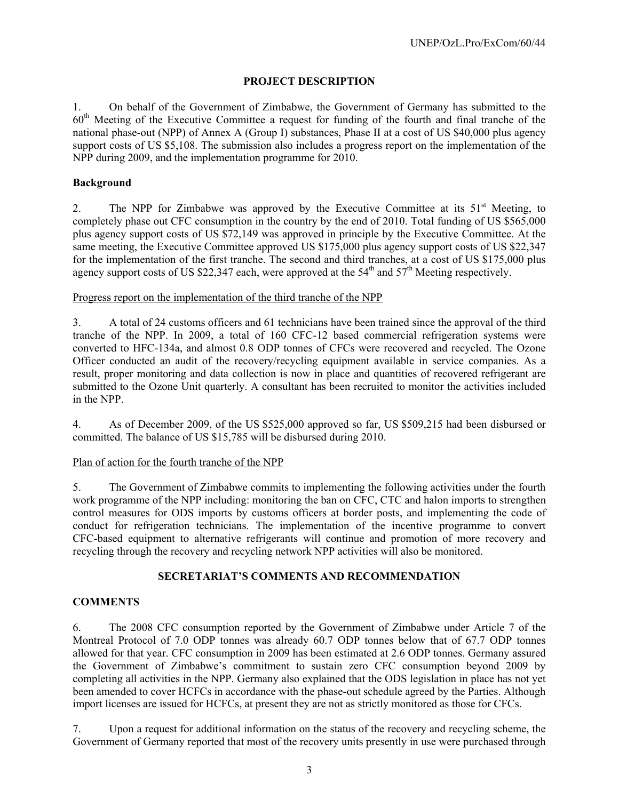## **PROJECT DESCRIPTION**

1. On behalf of the Government of Zimbabwe, the Government of Germany has submitted to the 60th Meeting of the Executive Committee a request for funding of the fourth and final tranche of the national phase-out (NPP) of Annex A (Group I) substances, Phase II at a cost of US \$40,000 plus agency support costs of US \$5,108. The submission also includes a progress report on the implementation of the NPP during 2009, and the implementation programme for 2010.

## **Background**

2. The NPP for Zimbabwe was approved by the Executive Committee at its  $51<sup>st</sup>$  Meeting, to completely phase out CFC consumption in the country by the end of 2010. Total funding of US \$565,000 plus agency support costs of US \$72,149 was approved in principle by the Executive Committee. At the same meeting, the Executive Committee approved US \$175,000 plus agency support costs of US \$22,347 for the implementation of the first tranche. The second and third tranches, at a cost of US \$175,000 plus agency support costs of US \$22,347 each, were approved at the  $54<sup>th</sup>$  and  $57<sup>th</sup>$  Meeting respectively.

## Progress report on the implementation of the third tranche of the NPP

3. A total of 24 customs officers and 61 technicians have been trained since the approval of the third tranche of the NPP. In 2009, a total of 160 CFC-12 based commercial refrigeration systems were converted to HFC-134a, and almost 0.8 ODP tonnes of CFCs were recovered and recycled. The Ozone Officer conducted an audit of the recovery/recycling equipment available in service companies. As a result, proper monitoring and data collection is now in place and quantities of recovered refrigerant are submitted to the Ozone Unit quarterly. A consultant has been recruited to monitor the activities included in the NPP.

4. As of December 2009, of the US \$525,000 approved so far, US \$509,215 had been disbursed or committed. The balance of US \$15,785 will be disbursed during 2010.

## Plan of action for the fourth tranche of the NPP

5. The Government of Zimbabwe commits to implementing the following activities under the fourth work programme of the NPP including: monitoring the ban on CFC, CTC and halon imports to strengthen control measures for ODS imports by customs officers at border posts, and implementing the code of conduct for refrigeration technicians. The implementation of the incentive programme to convert CFC-based equipment to alternative refrigerants will continue and promotion of more recovery and recycling through the recovery and recycling network NPP activities will also be monitored.

## **SECRETARIAT'S COMMENTS AND RECOMMENDATION**

## **COMMENTS**

6. The 2008 CFC consumption reported by the Government of Zimbabwe under Article 7 of the Montreal Protocol of 7.0 ODP tonnes was already 60.7 ODP tonnes below that of 67.7 ODP tonnes allowed for that year. CFC consumption in 2009 has been estimated at 2.6 ODP tonnes. Germany assured the Government of Zimbabwe's commitment to sustain zero CFC consumption beyond 2009 by completing all activities in the NPP. Germany also explained that the ODS legislation in place has not yet been amended to cover HCFCs in accordance with the phase-out schedule agreed by the Parties. Although import licenses are issued for HCFCs, at present they are not as strictly monitored as those for CFCs.

7. Upon a request for additional information on the status of the recovery and recycling scheme, the Government of Germany reported that most of the recovery units presently in use were purchased through